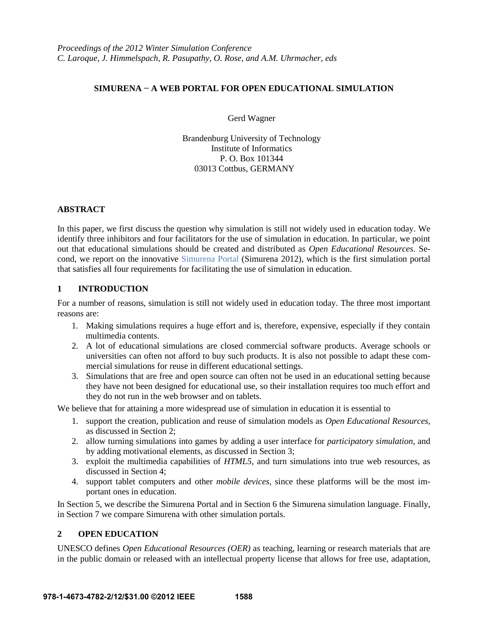### **SIMURENA − A WEB PORTAL FOR OPEN EDUCATIONAL SIMULATION**

Gerd Wagner

Brandenburg University of Technology Institute of Informatics P. O. Box 101344 03013 Cottbus, GERMANY

### **ABSTRACT**

In this paper, we first discuss the question why simulation is still not widely used in education today. We identify three inhibitors and four facilitators for the use of simulation in education. In particular, we point out that educational simulations should be created and distributed as *Open Educational Resources*. Second, we report on the innovative [Simurena Portal](http://portal.simulario.de/user/login) (Simurena 2012), which is the first simulation portal that satisfies all four requirements for facilitating the use of simulation in education.

## **1 INTRODUCTION**

For a number of reasons, simulation is still not widely used in education today. The three most important reasons are:

- 1. Making simulations requires a huge effort and is, therefore, expensive, especially if they contain multimedia contents.
- 2. A lot of educational simulations are closed commercial software products. Average schools or universities can often not afford to buy such products. It is also not possible to adapt these commercial simulations for reuse in different educational settings.
- 3. Simulations that are free and open source can often not be used in an educational setting because they have not been designed for educational use, so their installation requires too much effort and they do not run in the web browser and on tablets.

We believe that for attaining a more widespread use of simulation in education it is essential to

- 1. support the creation, publication and reuse of simulation models as *Open Educational Resources*, as discussed in Section 2;
- 2. allow turning simulations into games by adding a user interface for *participatory simulation*, and by adding motivational elements, as discussed in Section 3;
- 3. exploit the multimedia capabilities of *HTML5*, and turn simulations into true web resources, as discussed in Section 4;
- 4. support tablet computers and other *mobile devices*, since these platforms will be the most important ones in education.

In Section 5, we describe the Simurena Portal and in Section 6 the Simurena simulation language. Finally, in Section 7 we compare Simurena with other simulation portals.

## **2 OPEN EDUCATION**

UNESCO defines *Open Educational Resources (OER)* as teaching, learning or research materials that are in the public domain or released with an intellectual property license that allows for free use, adaptation,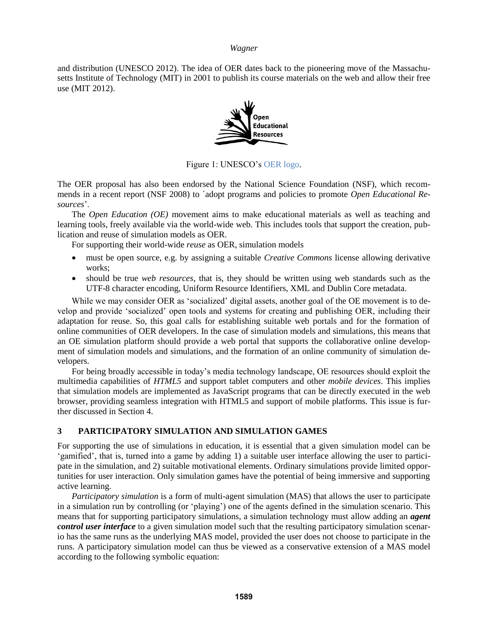and distribution (UNESCO 2012). The idea of OER dates back to the pioneering move of the Massachusetts Institute of Technology (MIT) in 2001 to publish its course materials on the web and allow their free use (MIT 2012).



Figure 1: UNESCO's [OER logo.](http://www.unesco.org/new/en/communication-and-information/access-to-knowledge/open-educational-resources/global-oer-logo/)

The OER proposal has also been endorsed by the National Science Foundation (NSF), which recommends in a recent report (NSF 2008) to ´adopt programs and policies to promote *Open Educational Resources*'.

The *Open Education (OE)* movement aims to make educational materials as well as teaching and learning tools, freely available via the world-wide web. This includes tools that support the creation, publication and reuse of simulation models as OER.

For supporting their world-wide *reuse* as OER, simulation models

- must be open source, e.g. by assigning a suitable *Creative Commons* license allowing derivative works;
- should be true *web resources*, that is, they should be written using web standards such as the UTF-8 character encoding, Uniform Resource Identifiers, XML and Dublin Core metadata.

While we may consider OER as 'socialized' digital assets, another goal of the OE movement is to develop and provide 'socialized' open tools and systems for creating and publishing OER, including their adaptation for reuse. So, this goal calls for establishing suitable web portals and for the formation of online communities of OER developers. In the case of simulation models and simulations, this means that an OE simulation platform should provide a web portal that supports the collaborative online development of simulation models and simulations, and the formation of an online community of simulation developers.

For being broadly accessible in today's media technology landscape, OE resources should exploit the multimedia capabilities of *HTML5* and support tablet computers and other *mobile devices*. This implies that simulation models are implemented as JavaScript programs that can be directly executed in the web browser, providing seamless integration with HTML5 and support of mobile platforms. This issue is further discussed in Section 4.

# **3 PARTICIPATORY SIMULATION AND SIMULATION GAMES**

For supporting the use of simulations in education, it is essential that a given simulation model can be 'gamified', that is, turned into a game by adding 1) a suitable user interface allowing the user to participate in the simulation, and 2) suitable motivational elements. Ordinary simulations provide limited opportunities for user interaction. Only simulation games have the potential of being immersive and supporting active learning.

*Participatory simulation* is a form of multi-agent simulation (MAS) that allows the user to participate in a simulation run by controlling (or 'playing') one of the agents defined in the simulation scenario. This means that for supporting participatory simulations, a simulation technology must allow adding an *agent control user interface* to a given simulation model such that the resulting participatory simulation scenario has the same runs as the underlying MAS model, provided the user does not choose to participate in the runs. A participatory simulation model can thus be viewed as a conservative extension of a MAS model according to the following symbolic equation: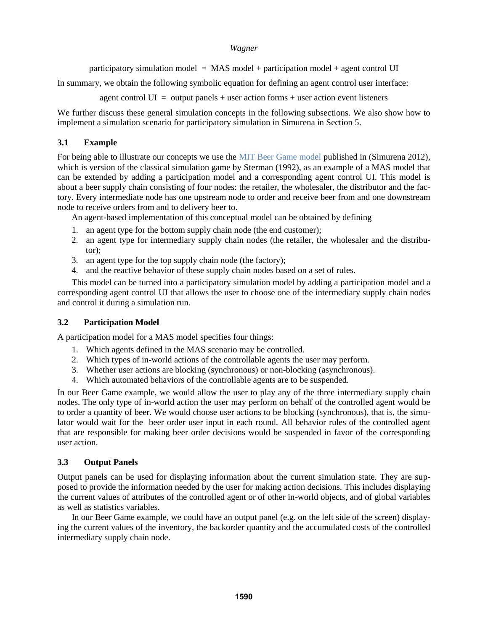participatory simulation model = MAS model + participation model + agent control UI

In summary, we obtain the following symbolic equation for defining an agent control user interface:

agent control  $UI =$  output panels  $+$  user action forms  $+$  user action event listeners

We further discuss these general simulation concepts in the following subsections. We also show how to implement a simulation scenario for participatory simulation in Simurena in Section 5.

# **3.1 Example**

For being able to illustrate our concepts we use the [MIT Beer Game model](http://portal.simulario.de/public/4/) published in (Simurena 2012), which is version of the classical simulation game by Sterman (1992), as an example of a MAS model that can be extended by adding a participation model and a corresponding agent control UI. This model is about a beer supply chain consisting of four nodes: the retailer, the wholesaler, the distributor and the factory. Every intermediate node has one upstream node to order and receive beer from and one downstream node to receive orders from and to delivery beer to.

An agent-based implementation of this conceptual model can be obtained by defining

- 1. an agent type for the bottom supply chain node (the end customer);
- 2. an agent type for intermediary supply chain nodes (the retailer, the wholesaler and the distributor);
- 3. an agent type for the top supply chain node (the factory);
- 4. and the reactive behavior of these supply chain nodes based on a set of rules.

This model can be turned into a participatory simulation model by adding a participation model and a corresponding agent control UI that allows the user to choose one of the intermediary supply chain nodes and control it during a simulation run.

## **3.2 Participation Model**

A participation model for a MAS model specifies four things:

- 1. Which agents defined in the MAS scenario may be controlled.
- 2. Which types of in-world actions of the controllable agents the user may perform.
- 3. Whether user actions are blocking (synchronous) or non-blocking (asynchronous).
- 4. Which automated behaviors of the controllable agents are to be suspended.

In our Beer Game example, we would allow the user to play any of the three intermediary supply chain nodes. The only type of in-world action the user may perform on behalf of the controlled agent would be to order a quantity of beer. We would choose user actions to be blocking (synchronous), that is, the simulator would wait for the beer order user input in each round. All behavior rules of the controlled agent that are responsible for making beer order decisions would be suspended in favor of the corresponding user action.

# **3.3 Output Panels**

Output panels can be used for displaying information about the current simulation state. They are supposed to provide the information needed by the user for making action decisions. This includes displaying the current values of attributes of the controlled agent or of other in-world objects, and of global variables as well as statistics variables.

In our Beer Game example, we could have an output panel (e.g. on the left side of the screen) displaying the current values of the inventory, the backorder quantity and the accumulated costs of the controlled intermediary supply chain node.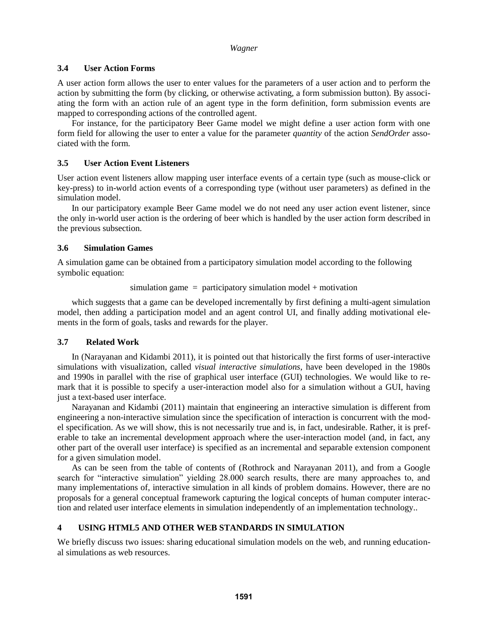## **3.4 User Action Forms**

A user action form allows the user to enter values for the parameters of a user action and to perform the action by submitting the form (by clicking, or otherwise activating, a form submission button). By associating the form with an action rule of an agent type in the form definition, form submission events are mapped to corresponding actions of the controlled agent.

For instance, for the participatory Beer Game model we might define a user action form with one form field for allowing the user to enter a value for the parameter *quantity* of the action *SendOrder* associated with the form.

## **3.5 User Action Event Listeners**

User action event listeners allow mapping user interface events of a certain type (such as mouse-click or key-press) to in-world action events of a corresponding type (without user parameters) as defined in the simulation model.

In our participatory example Beer Game model we do not need any user action event listener, since the only in-world user action is the ordering of beer which is handled by the user action form described in the previous subsection.

## **3.6 Simulation Games**

A simulation game can be obtained from a participatory simulation model according to the following symbolic equation:

simulation game = participatory simulation model + motivation

which suggests that a game can be developed incrementally by first defining a multi-agent simulation model, then adding a participation model and an agent control UI, and finally adding motivational elements in the form of goals, tasks and rewards for the player.

# **3.7 Related Work**

In (Narayanan and Kidambi 2011), it is pointed out that historically the first forms of user-interactive simulations with visualization, called *visual interactive simulations*, have been developed in the 1980s and 1990s in parallel with the rise of graphical user interface (GUI) technologies. We would like to remark that it is possible to specify a user-interaction model also for a simulation without a GUI, having just a text-based user interface.

Narayanan and Kidambi (2011) maintain that engineering an interactive simulation is different from engineering a non-interactive simulation since the specification of interaction is concurrent with the model specification. As we will show, this is not necessarily true and is, in fact, undesirable. Rather, it is preferable to take an incremental development approach where the user-interaction model (and, in fact, any other part of the overall user interface) is specified as an incremental and separable extension component for a given simulation model.

As can be seen from the table of contents of (Rothrock and Narayanan 2011), and from a Google search for "interactive simulation" yielding 28.000 search results, there are many approaches to, and many implementations of, interactive simulation in all kinds of problem domains. However, there are no proposals for a general conceptual framework capturing the logical concepts of human computer interaction and related user interface elements in simulation independently of an implementation technology..

# **4 USING HTML5 AND OTHER WEB STANDARDS IN SIMULATION**

We briefly discuss two issues: sharing educational simulation models on the web, and running educational simulations as web resources.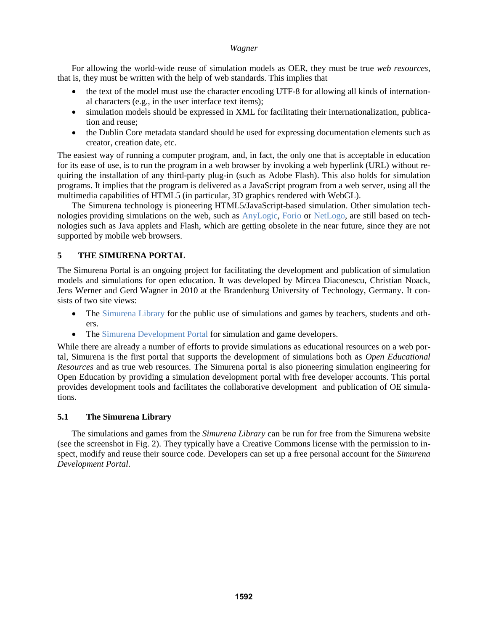For allowing the world-wide reuse of simulation models as OER, they must be true *web resources*, that is, they must be written with the help of web standards. This implies that

- the text of the model must use the character encoding UTF-8 for allowing all kinds of international characters (e.g., in the user interface text items);
- simulation models should be expressed in XML for facilitating their internationalization, publication and reuse;
- the Dublin Core metadata standard should be used for expressing documentation elements such as creator, creation date, etc.

The easiest way of running a computer program, and, in fact, the only one that is acceptable in education for its ease of use, is to run the program in a web browser by invoking a web hyperlink (URL) without requiring the installation of any third-party plug-in (such as Adobe Flash). This also holds for simulation programs. It implies that the program is delivered as a JavaScript program from a web server, using all the multimedia capabilities of HTML5 (in particular, 3D graphics rendered with WebGL).

The Simurena technology is pioneering HTML5/JavaScript-based simulation. Other simulation technologies providing simulations on the web, such as [AnyLogic,](http://www.xjtek.com/) [Forio](http://forio.com/) or [NetLogo,](http://www.google.de/url?sa=t&rct=j&q=&esrc=s&source=web&cd=1&ved=0CGQQFjAA&url=http%3A%2F%2Fccl.northwestern.edu%2Fnetlogo%2F&ei=zge8T4qHENHq8QP__v27Ag&usg=AFQjCNFNsdtj3lVRltIf1xavODoaP7MEhg&sig2=C-bjER3dRpptKLXbT_NAiQ) are still based on technologies such as Java applets and Flash, which are getting obsolete in the near future, since they are not supported by mobile web browsers.

## **5 THE SIMURENA PORTAL**

The Simurena Portal is an ongoing project for facilitating the development and publication of simulation models and simulations for open education. It was developed by Mircea Diaconescu, Christian Noack, Jens Werner and Gerd Wagner in 2010 at the Brandenburg University of Technology, Germany. It consists of two site views:

- The [Simurena Library](http://portal.simulario.de/public/) for the public use of simulations and games by teachers, students and others.
- The [Simurena Development Portal](http://portal.simulario.de/) for simulation and game developers.

While there are already a number of efforts to provide simulations as educational resources on a web portal, Simurena is the first portal that supports the development of simulations both as *Open Educational Resources* and as true web resources. The Simurena portal is also pioneering simulation engineering for Open Education by providing a simulation development portal with free developer accounts. This portal provides development tools and facilitates the collaborative development and publication of OE simulations.

## **5.1 The Simurena Library**

The simulations and games from the *Simurena Library* can be run for free from the Simurena website (see the screenshot in Fig. 2). They typically have a Creative Commons license with the permission to inspect, modify and reuse their source code. Developers can set up a free personal account for the *Simurena Development Portal*.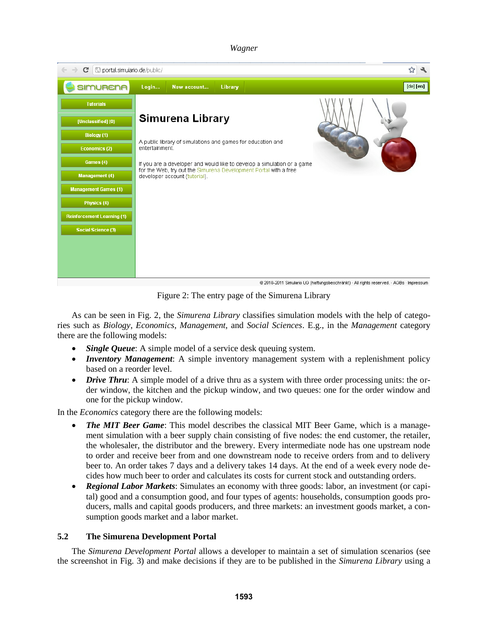

Figure 2: The entry page of the Simurena Library

As can be seen in Fig. 2, the *Simurena Library* classifies simulation models with the help of categories such as *Biology*, *Economics*, *Management*, and *Social Sciences*. E.g., in the *Management* category there are the following models:

- *Single Queue*: A simple model of a service desk queuing system.
- *Inventory Management*: A simple inventory management system with a replenishment policy based on a reorder level.
- *Drive Thru*: A simple model of a drive thru as a system with three order processing units: the order window, the kitchen and the pickup window, and two queues: one for the order window and one for the pickup window.

In the *Economics* category there are the following models:

- *The MIT Beer Game*: This model describes the classical MIT Beer Game, which is a management simulation with a beer supply chain consisting of five nodes: the end customer, the retailer, the wholesaler, the distributor and the brewery. Every intermediate node has one upstream node to order and receive beer from and one downstream node to receive orders from and to delivery beer to. An order takes 7 days and a delivery takes 14 days. At the end of a week every node decides how much beer to order and calculates its costs for current stock and outstanding orders.
- *Regional Labor Markets*: Simulates an economy with three goods: labor, an investment (or capital) good and a consumption good, and four types of agents: households, consumption goods producers, malls and capital goods producers, and three markets: an investment goods market, a consumption goods market and a labor market.

# **5.2 The Simurena Development Portal**

The *Simurena Development Portal* allows a developer to maintain a set of simulation scenarios (see the screenshot in Fig. 3) and make decisions if they are to be published in the *Simurena Library* using a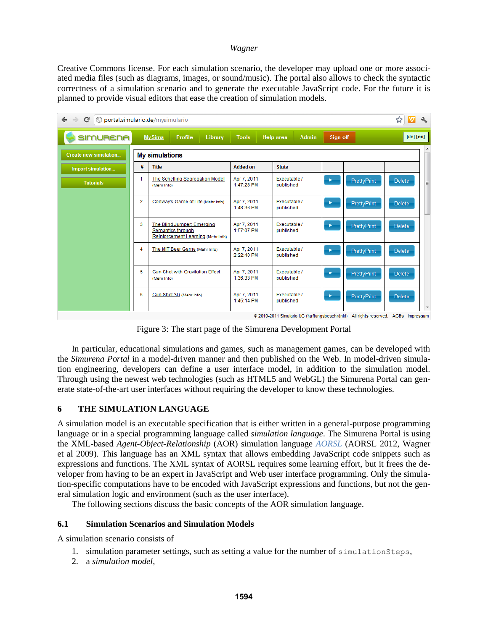Creative Commons license. For each simulation scenario, the developer may upload one or more associated media files (such as diagrams, images, or sound/music). The portal also allows to check the syntactic correctness of a simulation scenario and to generate the executable JavaScript code. For the future it is planned to provide visual editors that ease the creation of simulation models.

| O portal.simulario.de/mysimulario<br>C<br>$\leftarrow$<br>$\Rightarrow$                 |                       |                                                                                                                                                                                                               |         |                                 |  |                                                        |              |          |                    | ☆                       |           | a |
|-----------------------------------------------------------------------------------------|-----------------------|---------------------------------------------------------------------------------------------------------------------------------------------------------------------------------------------------------------|---------|---------------------------------|--|--------------------------------------------------------|--------------|----------|--------------------|-------------------------|-----------|---|
| <b>SIMURENA</b>                                                                         |                       | <b>Profile</b><br><b>My Sims</b>                                                                                                                                                                              | Library | <b>Tools</b>                    |  | <b>Help area</b>                                       | <b>Admin</b> | Sign off |                    |                         | [de] [en] |   |
| Create new simulation                                                                   | <b>My simulations</b> |                                                                                                                                                                                                               |         |                                 |  |                                                        |              |          |                    |                         |           |   |
| Import simulation                                                                       | #                     | <b>Title</b>                                                                                                                                                                                                  |         | <b>Added on</b><br><b>State</b> |  |                                                        |              |          |                    |                         |           |   |
| <b>Tutorials</b>                                                                        |                       | The Schelling Segregation Model<br>(Mehr Info)<br>Conway's Game of Life (Mehr Info)<br>The Blind Jumper: Emerging<br>Semantics through<br>Reinforcement Learning (Mehr Info)<br>The MIT Beer Game (Mehr Info) |         | Apr 7, 2011<br>1:47:28 PM       |  | Executable /<br>published                              |              | ٠        | PrettyPrint        | Delete                  |           |   |
|                                                                                         | 2                     |                                                                                                                                                                                                               |         | Apr 7, 2011<br>1:48:36 PM       |  | Executable /<br>published<br>Executable /<br>published |              | ٠        | PrettyPrint        | <b>Delete</b><br>Delete |           |   |
|                                                                                         | 3                     |                                                                                                                                                                                                               |         | Apr 7, 2011<br>1:57:07 PM       |  |                                                        |              | ,        | PrettyPrint        |                         |           |   |
|                                                                                         | 4                     |                                                                                                                                                                                                               |         | Apr 7, 2011<br>2:22:40 PM       |  | Executable /<br>published                              |              | ٠        | PrettyPrint        | <b>Delete</b>           |           |   |
|                                                                                         | 5                     | Gun Shot with Gravitation Effect<br>(Mehr Info)                                                                                                                                                               |         | Apr 7, 2011<br>1:36:33 PM       |  | Executable /<br>published                              |              | ٠        | <b>PrettyPrint</b> | Delete                  |           |   |
|                                                                                         | 6                     | Gun Shot 3D (Mehr Info)                                                                                                                                                                                       |         | Apr 7, 2011<br>1:45:14 PM       |  | Executable /<br>published                              |              | ٠        | <b>PrettyPrint</b> | <b>Delete</b>           |           |   |
| @ 2010-2011 Simulario UG (haftungsbeschränkt) · All rights reserved. · AGBs · Impressum |                       |                                                                                                                                                                                                               |         |                                 |  |                                                        |              |          |                    |                         |           |   |

Figure 3: The start page of the Simurena Development Portal

In particular, educational simulations and games, such as management games, can be developed with the *Simurena Portal* in a model-driven manner and then published on the Web. In model-driven simulation engineering, developers can define a user interface model, in addition to the simulation model. Through using the newest web technologies (such as HTML5 and WebGL) the Simurena Portal can generate state-of-the-art user interfaces without requiring the developer to know these technologies.

### **6 THE SIMULATION LANGUAGE**

A simulation model is an executable specification that is either written in a general-purpose programming language or in a special programming language called *simulation language*. The Simurena Portal is using the XML-based *Agent-Object-Relationship* (AOR) simulation language *[AORSL](https://oxygen.informatik.tu-cottbus.de/aors/AORSL.html)* (AORSL 2012, Wagner et al 2009). This language has an XML syntax that allows embedding JavaScript code snippets such as expressions and functions. The XML syntax of AORSL requires some learning effort, but it frees the developer from having to be an expert in JavaScript and Web user interface programming. Only the simulation-specific computations have to be encoded with JavaScript expressions and functions, but not the general simulation logic and environment (such as the user interface).

The following sections discuss the basic concepts of the AOR simulation language.

### **6.1 Simulation Scenarios and Simulation Models**

A simulation scenario consists of

- 1. simulation parameter settings, such as setting a value for the number of simulationSteps,
- 2. a *simulation model*,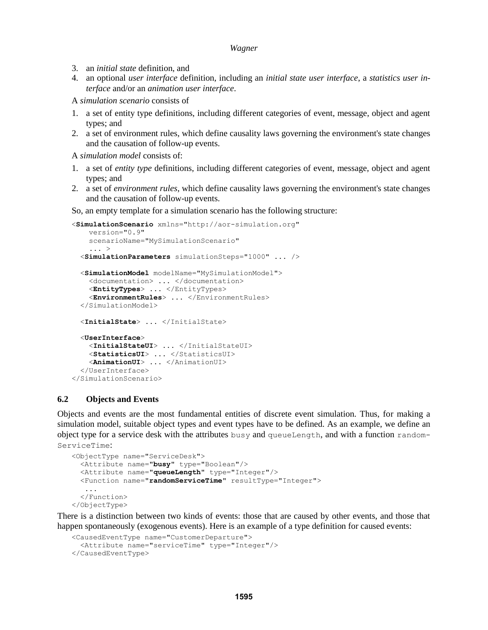- 3. an *initial state* definition, and
- 4. an optional *user interface* definition, including an *initial state user interface*, a *statistics user interface* and/or an *animation user interface*.

A *simulation scenario* consists of

- 1. a set of entity type definitions, including different categories of event, message, object and agent types; and
- 2. a set of environment rules, which define causality laws governing the environment's state changes and the causation of follow-up events.

A *simulation model* consists of:

- 1. a set of *entity type* definitions, including different categories of event, message, object and agent types; and
- 2. a set of *environment rules*, which define causality laws governing the environment's state changes and the causation of follow-up events.

So, an empty template for a simulation scenario has the following structure:

```
<SimulationScenario xmlns="http://aor-simulation.org"
    version="0.9"
    scenarioName="MySimulationScenario" 
     ... >
   <SimulationParameters simulationSteps="1000" ... />
   <SimulationModel modelName="MySimulationModel">
     <documentation> ... </documentation>
     <EntityTypes> ... </EntityTypes>
     <EnvironmentRules> ... </EnvironmentRules>
   </SimulationModel>
   <InitialState> ... </InitialState>
   <UserInterface>
    <InitialStateUI> ... </InitialStateUI>
     <StatisticsUI> ... </StatisticsUI>
     <AnimationUI> ... </AnimationUI>
   </UserInterface>
</SimulationScenario>
```
### **6.2 Objects and Events**

Objects and events are the most fundamental entities of discrete event simulation. Thus, for making a simulation model, suitable object types and event types have to be defined. As an example, we define an object type for a service desk with the attributes busy and queueLength, and with a function random-ServiceTime:

```
<ObjectType name="ServiceDesk">
   <Attribute name="busy" type="Boolean"/>
   <Attribute name="queueLength" type="Integer"/>
   <Function name="randomServiceTime" resultType="Integer">
 ...
   </Function>
</ObjectType>
```
There is a distinction between two kinds of events: those that are caused by other events, and those that happen spontaneously (exogenous events). Here is an example of a type definition for caused events:

```
<CausedEventType name="CustomerDeparture">
   <Attribute name="serviceTime" type="Integer"/>
</CausedEventType>
```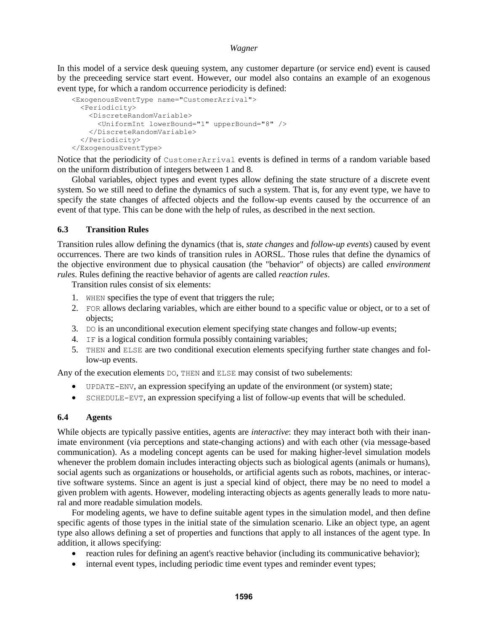In this model of a service desk queuing system, any customer departure (or service end) event is caused by the preceeding service start event. However, our model also contains an example of an exogenous event type, for which a random occurrence periodicity is defined:

```
<ExogenousEventType name="CustomerArrival">
  <Periodicity>
    <DiscreteRandomVariable>
       <UniformInt lowerBound="1" upperBound="8" />
     </DiscreteRandomVariable>
   </Periodicity>
</ExogenousEventType>
```
Notice that the periodicity of CustomerArrival events is defined in terms of a random variable based on the uniform distribution of integers between 1 and 8.

Global variables, object types and event types allow defining the state structure of a discrete event system. So we still need to define the dynamics of such a system. That is, for any event type, we have to specify the state changes of affected objects and the follow-up events caused by the occurrence of an event of that type. This can be done with the help of rules, as described in the next section.

## **6.3 Transition Rules**

Transition rules allow defining the dynamics (that is, *state changes* and *follow-up events*) caused by event occurrences. There are two kinds of transition rules in AORSL. Those rules that define the dynamics of the objective environment due to physical causation (the "behavior" of objects) are called *environment rules*. Rules defining the reactive behavior of agents are called *reaction rules*.

Transition rules consist of six elements:

- 1. WHEN specifies the type of event that triggers the rule;
- 2. FOR allows declaring variables, which are either bound to a specific value or object, or to a set of objects;
- 3. DO is an unconditional execution element specifying state changes and follow-up events;
- 4. IF is a logical condition formula possibly containing variables;
- 5. THEN and ELSE are two conditional execution elements specifying further state changes and follow-up events.

Any of the execution elements DO, THEN and ELSE may consist of two subelements:

- UPDATE-ENV, an expression specifying an update of the environment (or system) state;
- SCHEDULE-EVT, an expression specifying a list of follow-up events that will be scheduled.

## **6.4 Agents**

While objects are typically passive entities, agents are *interactive*: they may interact both with their inanimate environment (via perceptions and state-changing actions) and with each other (via message-based communication). As a modeling concept agents can be used for making higher-level simulation models whenever the problem domain includes interacting objects such as biological agents (animals or humans), social agents such as organizations or households, or artificial agents such as robots, machines, or interactive software systems. Since an agent is just a special kind of object, there may be no need to model a given problem with agents. However, modeling interacting objects as agents generally leads to more natural and more readable simulation models.

For modeling agents, we have to define suitable agent types in the simulation model, and then define specific agents of those types in the initial state of the simulation scenario. Like an object type, an agent type also allows defining a set of properties and functions that apply to all instances of the agent type. In addition, it allows specifying:

- reaction rules for defining an agent's reactive behavior (including its communicative behavior);
- internal event types, including periodic time event types and reminder event types;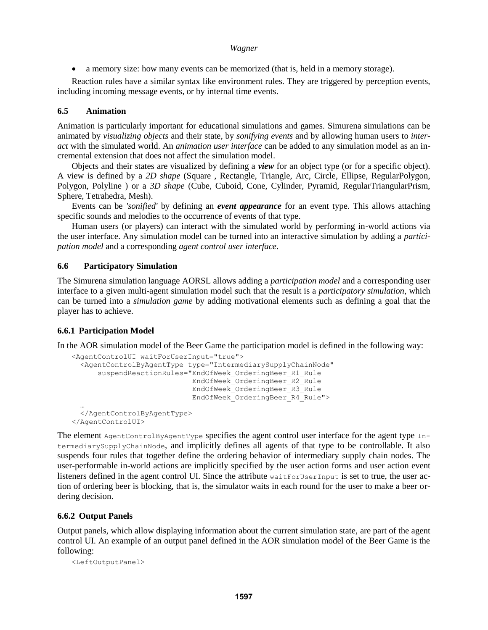a memory size: how many events can be memorized (that is, held in a memory storage).

Reaction rules have a similar syntax like environment rules. They are triggered by perception events, including incoming message events, or by internal time events.

### **6.5 Animation**

Animation is particularly important for educational simulations and games. Simurena simulations can be animated by *visualizing objects* and their state, by *sonifying events* and by allowing human users to *interact* with the simulated world. An *animation user interface* can be added to any simulation model as an incremental extension that does not affect the simulation model.

Objects and their states are visualized by defining a *view* for an object type (or for a specific object). A view is defined by a *2D shape* (Square , Rectangle, Triangle, Arc, Circle, Ellipse, RegularPolygon, Polygon, Polyline ) or a *3D shape* (Cube, Cuboid, Cone, Cylinder, Pyramid, RegularTriangularPrism, Sphere, Tetrahedra, Mesh).

Events can be *'sonified'* by defining an *event appearance* for an event type. This allows attaching specific sounds and melodies to the occurrence of events of that type.

Human users (or players) can interact with the simulated world by performing in-world actions via the user interface. Any simulation model can be turned into an interactive simulation by adding a *participation model* and a corresponding *agent control user interface*.

### **6.6 Participatory Simulation**

The Simurena simulation language AORSL allows adding a *participation model* and a corresponding user interface to a given multi-agent simulation model such that the result is a *participatory simulation*, which can be turned into a *simulation game* by adding motivational elements such as defining a goal that the player has to achieve.

## **6.6.1 Participation Model**

In the AOR simulation model of the Beer Game the participation model is defined in the following way:

```
<AgentControlUI waitForUserInput="true">
   <AgentControlByAgentType type="IntermediarySupplyChainNode"
      suspendReactionRules="EndOfWeek OrderingBeer_R1_Rule
                             EndOfWeek_OrderingBeer_R2_Rule 
                            EndOfWeek_OrderingBeer_R3_Rule 
                            EndOfWeek_OrderingBeer_R4_Rule">
 …
   </AgentControlByAgentType>
</AgentControlUI>
```
The element AgentControlByAgentType specifies the agent control user interface for the agent type IntermediarySupplyChainNode, and implicitly defines all agents of that type to be controllable. It also suspends four rules that together define the ordering behavior of intermediary supply chain nodes. The user-performable in-world actions are implicitly specified by the user action forms and user action event listeners defined in the agent control UI. Since the attribute waitForUserInput is set to true, the user action of ordering beer is blocking, that is, the simulator waits in each round for the user to make a beer ordering decision.

## **6.6.2 Output Panels**

Output panels, which allow displaying information about the current simulation state, are part of the agent control UI. An example of an output panel defined in the AOR simulation model of the Beer Game is the following:

```
<LeftOutputPanel>
```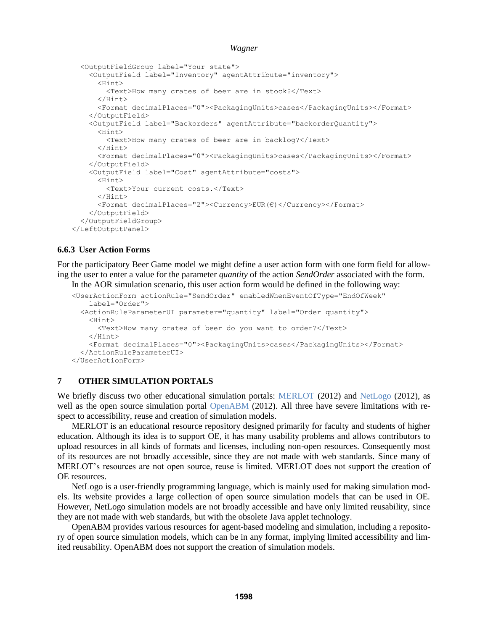```
 <OutputFieldGroup label="Your state">
     <OutputField label="Inventory" agentAttribute="inventory">
      <Hint> <Text>How many crates of beer are in stock?</Text>
      \langle/Hint>
       <Format decimalPlaces="0"><PackagingUnits>cases</PackagingUnits></Format>
     </OutputField>
     <OutputField label="Backorders" agentAttribute="backorderQuantity">
       <Hint>
         <Text>How many crates of beer are in backlog?</Text>
      \langle/Hint>
       <Format decimalPlaces="0"><PackagingUnits>cases</PackagingUnits></Format>
     </OutputField>
     <OutputField label="Cost" agentAttribute="costs">
       <Hint>
         <Text>Your current costs.</Text>
      \langle/Hint>
       <Format decimalPlaces="2"><Currency>EUR(€)</Currency></Format>
     </OutputField>
  </OutputFieldGroup>
</LeftOutputPanel>
```
### **6.6.3 User Action Forms**

For the participatory Beer Game model we might define a user action form with one form field for allowing the user to enter a value for the parameter *quantity* of the action *SendOrder* associated with the form.

```
In the AOR simulation scenario, this user action form would be defined in the following way:
```

```
<UserActionForm actionRule="SendOrder" enabledWhenEventOfType="EndOfWeek" 
    label="Order">
  <ActionRuleParameterUI parameter="quantity" label="Order quantity">
   <Hint> <Text>How many crates of beer do you want to order?</Text>
   \langle/Hint>
     <Format decimalPlaces="0"><PackagingUnits>cases</PackagingUnits></Format>
   </ActionRuleParameterUI>
</UserActionForm>
```
## **7 OTHER SIMULATION PORTALS**

We briefly discuss two other educational simulation portals: [MERLOT](http://www.merlot.org/merlot/index.htm) (2012) and [NetLogo](http://ccl.northwestern.edu/netlogo/) (2012), as well as the open source simulation portal [OpenABM](http://www.openabm.org/) (2012). All three have severe limitations with respect to accessibility, reuse and creation of simulation models.

MERLOT is an educational resource repository designed primarily for faculty and students of higher education. Although its idea is to support OE, it has many usability problems and allows contributors to upload resources in all kinds of formats and licenses, including non-open resources. Consequently most of its resources are not broadly accessible, since they are not made with web standards. Since many of MERLOT's resources are not open source, reuse is limited. MERLOT does not support the creation of OE resources.

NetLogo is a user-friendly programming language, which is mainly used for making simulation models. Its website provides a large collection of open source simulation models that can be used in OE. However, NetLogo simulation models are not broadly accessible and have only limited reusability, since they are not made with web standards, but with the obsolete Java applet technology.

OpenABM provides various resources for agent-based modeling and simulation, including a repository of open source simulation models, which can be in any format, implying limited accessibility and limited reusability. OpenABM does not support the creation of simulation models.